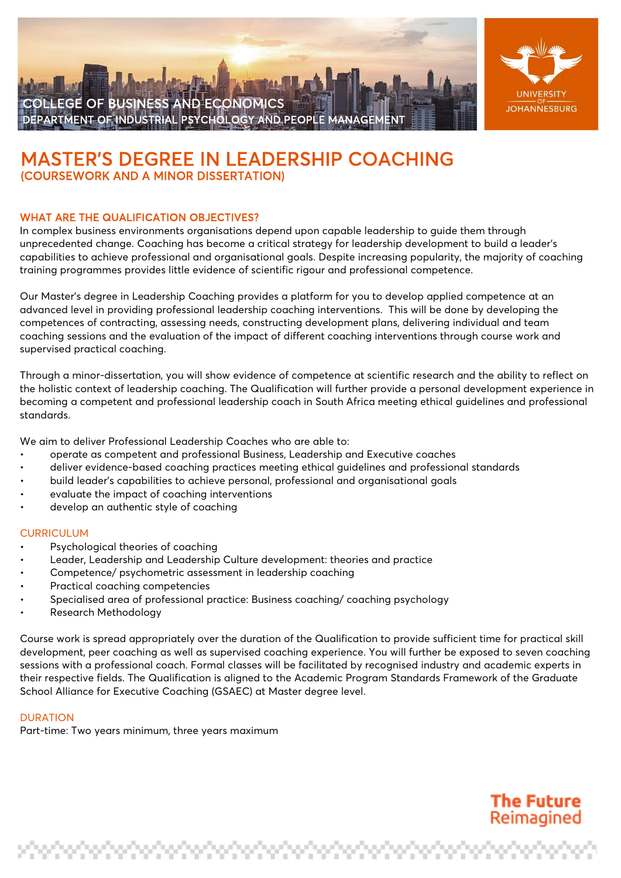



# **MASTER'S DEGREE IN LEADERSHIP COACHING**<br>(COURSEWORK AND A MINOR DISSERTATION)

# WHAT ARE THE QUALIFICATION OBJECTIVES?

In complex business environments organisations depend upon capable leadership to guide them through unprecedented change. Coaching has become a critical strategy for leadership development to build a leader's capabilities to achieve professional and organisational goals. Despite increasing popularity, the majority of coaching training programmes provides little evidence of scientific rigour and professional competence.

Our Master's degree in Leadership Coaching provides a platform for you to develop applied competence at an advanced level in providing professional leadership coaching interventions. This will be done by developing the competences of contracting, assessing needs, constructing development plans, delivering individual and team coaching sessions and the evaluation of the impact of different coaching interventions through course work and supervised practical coaching.

Through a minor-dissertation, you will show evidence of competence at scientific research and the ability to reflect on the holistic context of leadership coaching. The Qualification will further provide a personal development experience in becoming a competent and professional leadership coach in South Africa meeting ethical guidelines and professional standards.

We aim to deliver Professional Leadership Coaches who are able to:

- operate as competent and professional Business, Leadership and Executive coaches
- deliver evidence-based coaching practices meeting ethical guidelines and professional standards
- build leader's capabilities to achieve personal, professional and organisational goals
- evaluate the impact of coaching interventions
- develop an authentic style of coaching

#### **CURRICULUM**

- Psychological theories of coaching
- Leader, Leadership and Leadership Culture development: theories and practice
- Competence/ psychometric assessment in leadership coaching
- Practical coaching competencies
- Specialised area of professional practice: Business coaching/ coaching psychology
- Research Methodology

Course work is spread appropriately over the duration of the Qualification to provide sufficient time for practical skill development, peer coaching as well as supervised coaching experience. You will further be exposed to seven coaching sessions with a professional coach. Formal classes will be facilitated by recognised industry and academic experts in their respective fields. The Qualification is aligned to the Academic Program Standards Framework of the Graduate School Alliance for Executive Coaching (GSAEC) at Master degree level.

## **DURATION**

Part-time: Two years minimum, three years maximum